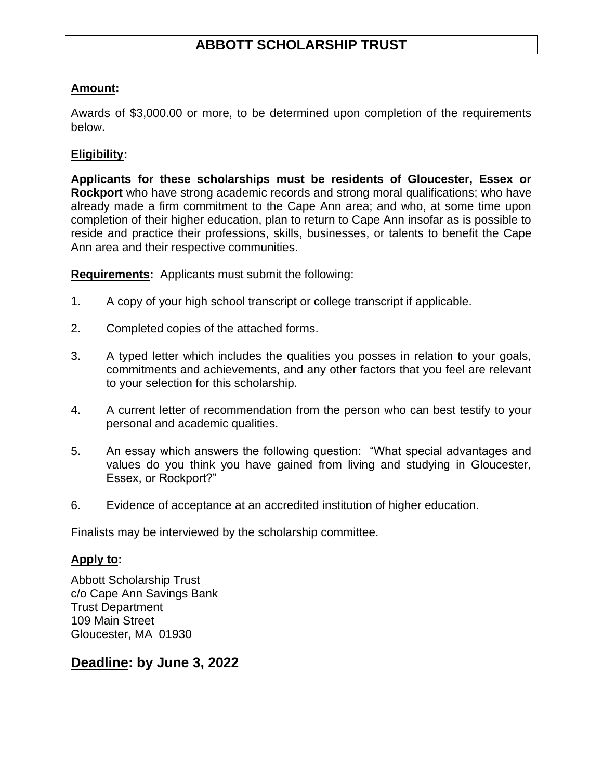# **ABBOTT SCHOLARSHIP TRUST**

#### **Amount:**

Awards of \$3,000.00 or more, to be determined upon completion of the requirements below.

#### **Eligibility:**

**Applicants for these scholarships must be residents of Gloucester, Essex or Rockport** who have strong academic records and strong moral qualifications; who have already made a firm commitment to the Cape Ann area; and who, at some time upon completion of their higher education, plan to return to Cape Ann insofar as is possible to reside and practice their professions, skills, businesses, or talents to benefit the Cape Ann area and their respective communities.

**Requirements:** Applicants must submit the following:

- 1. A copy of your high school transcript or college transcript if applicable.
- 2. Completed copies of the attached forms.
- 3. A typed letter which includes the qualities you posses in relation to your goals, commitments and achievements, and any other factors that you feel are relevant to your selection for this scholarship.
- 4. A current letter of recommendation from the person who can best testify to your personal and academic qualities.
- 5. An essay which answers the following question: "What special advantages and values do you think you have gained from living and studying in Gloucester, Essex, or Rockport?"
- 6. Evidence of acceptance at an accredited institution of higher education.

Finalists may be interviewed by the scholarship committee.

#### **Apply to:**

Abbott Scholarship Trust c/o Cape Ann Savings Bank Trust Department 109 Main Street Gloucester, MA 01930

### **Deadline: by June 3, 2022**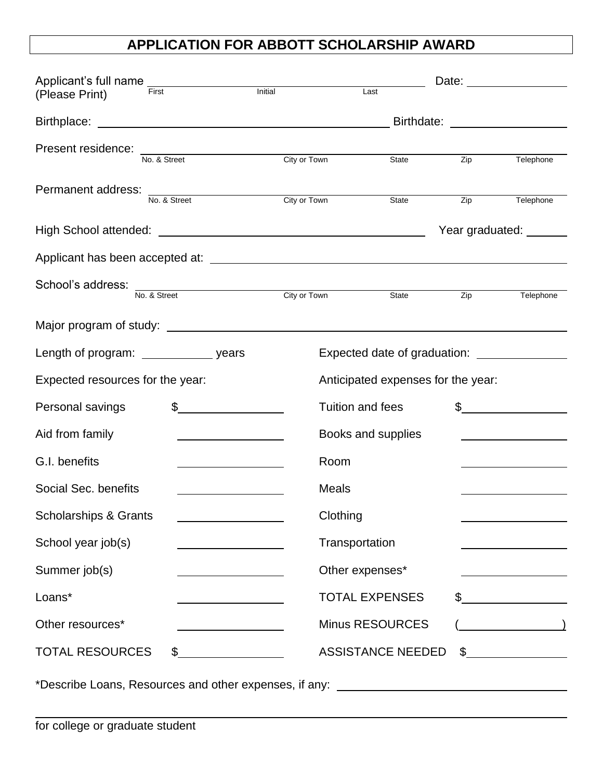# **APPLICATION FOR ABBOTT SCHOLARSHIP AWARD**

| Applicant's full name _________________    | First                                              | Initial                                      | Date: the contract of the contract of the contract of the contract of the contract of the contract of the contract of the contract of the contract of the contract of the contract of the contract of the contract of the cont<br>Last |              |                                                                                   |  |
|--------------------------------------------|----------------------------------------------------|----------------------------------------------|----------------------------------------------------------------------------------------------------------------------------------------------------------------------------------------------------------------------------------------|--------------|-----------------------------------------------------------------------------------|--|
| (Please Print)                             |                                                    |                                              |                                                                                                                                                                                                                                        |              |                                                                                   |  |
|                                            |                                                    | Birthdate: <u>__________________________</u> |                                                                                                                                                                                                                                        |              |                                                                                   |  |
| Present residence: No. & Street            |                                                    | City or Town                                 |                                                                                                                                                                                                                                        |              |                                                                                   |  |
|                                            |                                                    |                                              | State                                                                                                                                                                                                                                  | Zip          | Telephone                                                                         |  |
| Permanent address:<br>No. & Street         |                                                    | City or Town                                 | State                                                                                                                                                                                                                                  | Zip          | Telephone                                                                         |  |
|                                            |                                                    |                                              |                                                                                                                                                                                                                                        |              |                                                                                   |  |
|                                            |                                                    |                                              |                                                                                                                                                                                                                                        |              | Year graduated: _______                                                           |  |
|                                            |                                                    |                                              |                                                                                                                                                                                                                                        |              |                                                                                   |  |
| School's address:<br>No. & Street          |                                                    | City or Town                                 |                                                                                                                                                                                                                                        |              |                                                                                   |  |
|                                            |                                                    |                                              | State                                                                                                                                                                                                                                  | Zip          | Telephone                                                                         |  |
|                                            |                                                    |                                              |                                                                                                                                                                                                                                        |              |                                                                                   |  |
| Length of program: _________________ years |                                                    |                                              |                                                                                                                                                                                                                                        |              |                                                                                   |  |
| Expected resources for the year:           |                                                    |                                              | Anticipated expenses for the year:                                                                                                                                                                                                     |              |                                                                                   |  |
| Personal savings                           | $\frac{1}{\sqrt{2}}$                               |                                              | Tuition and fees                                                                                                                                                                                                                       | $\mathbb{S}$ |                                                                                   |  |
| Aid from family                            |                                                    |                                              | Books and supplies                                                                                                                                                                                                                     |              |                                                                                   |  |
| G.I. benefits                              |                                                    |                                              | Room                                                                                                                                                                                                                                   |              |                                                                                   |  |
| Social Sec. benefits                       |                                                    |                                              | <b>Meals</b>                                                                                                                                                                                                                           |              |                                                                                   |  |
| <b>Scholarships &amp; Grants</b>           |                                                    |                                              | Clothing                                                                                                                                                                                                                               |              |                                                                                   |  |
| School year job(s)                         | <u> 1989 - Johann Barn, amerikansk politiker (</u> |                                              | Transportation                                                                                                                                                                                                                         |              |                                                                                   |  |
| Summer job(s)                              |                                                    |                                              | Other expenses*                                                                                                                                                                                                                        |              |                                                                                   |  |
| Loans*                                     |                                                    |                                              | <b>TOTAL EXPENSES</b>                                                                                                                                                                                                                  |              | $\begin{array}{c c} \uparrow \end{array}$ $\begin{array}{c} \uparrow \end{array}$ |  |
| Other resources*                           |                                                    |                                              | <b>Minus RESOURCES</b>                                                                                                                                                                                                                 |              | $\overline{\phantom{a}}$                                                          |  |
| <b>TOTAL RESOURCES</b>                     | \$                                                 |                                              | <b>ASSISTANCE NEEDED</b>                                                                                                                                                                                                               |              | $\frac{1}{2}$                                                                     |  |
|                                            |                                                    |                                              |                                                                                                                                                                                                                                        |              |                                                                                   |  |